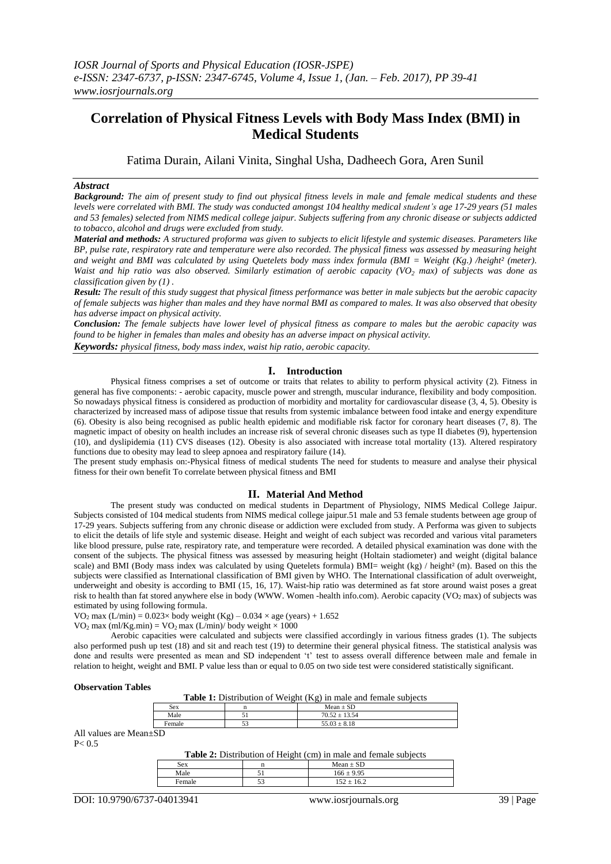# **Correlation of Physical Fitness Levels with Body Mass Index (BMI) in Medical Students**

Fatima Durain, Ailani Vinita, Singhal Usha, Dadheech Gora, Aren Sunil

## *Abstract*

*Background: The aim of present study to find out physical fitness levels in male and female medical students and these levels were correlated with BMI. The study was conducted amongst 104 healthy medical student's age 17-29 years (51 males and 53 females) selected from NIMS medical college jaipur. Subjects suffering from any chronic disease or subjects addicted to tobacco, alcohol and drugs were excluded from study.* 

*Material and methods: A structured proforma was given to subjects to elicit lifestyle and systemic diseases. Parameters like BP, pulse rate, respiratory rate and temperature were also recorded. The physical fitness was assessed by measuring height and weight and BMI was calculated by using Quetelets body mass index formula (BMI = Weight (Kg.) /height² (meter). Waist and hip ratio was also observed. Similarly estimation of aerobic capacity (VO<sub>2</sub> <i>max)* of subjects was done as *classification given by (1) .*

*Result: The result of this study suggest that physical fitness performance was better in male subjects but the aerobic capacity of female subjects was higher than males and they have normal BMI as compared to males. It was also observed that obesity has adverse impact on physical activity.* 

*Conclusion: The female subjects have lower level of physical fitness as compare to males but the aerobic capacity was found to be higher in females than males and obesity has an adverse impact on physical activity.*

*Keywords: physical fitness, body mass index, waist hip ratio, aerobic capacity.*

#### **I. Introduction**

Physical fitness comprises a set of outcome or traits that relates to ability to perform physical activity (2). Fitness in general has five components: - aerobic capacity, muscle power and strength, muscular indurance, flexibility and body composition. So nowadays physical fitness is considered as production of morbidity and mortality for cardiovascular disease (3, 4, 5). Obesity is characterized by increased mass of adipose tissue that results from systemic imbalance between food intake and energy expenditure (6). Obesity is also being recognised as public health epidemic and modifiable risk factor for coronary heart diseases  $(\vec{7}, 8)$ . The magnetic impact of obesity on health includes an increase risk of several chronic diseases such as type II diabetes (9), hypertension (10), and dyslipidemia (11) CVS diseases (12). Obesity is also associated with increase total mortality (13). Altered respiratory functions due to obesity may lead to sleep apnoea and respiratory failure (14).

The present study emphasis on:-Physical fitness of medical students The need for students to measure and analyse their physical fitness for their own benefit To correlate between physical fitness and BMI

#### **II. Material And Method**

The present study was conducted on medical students in Department of Physiology, NIMS Medical College Jaipur. Subjects consisted of 104 medical students from NIMS medical college jaipur.51 male and 53 female students between age group of 17-29 years. Subjects suffering from any chronic disease or addiction were excluded from study. A Performa was given to subjects to elicit the details of life style and systemic disease. Height and weight of each subject was recorded and various vital parameters like blood pressure, pulse rate, respiratory rate, and temperature were recorded. A detailed physical examination was done with the consent of the subjects. The physical fitness was assessed by measuring height (Holtain stadiometer) and weight (digital balance scale) and BMI (Body mass index was calculated by using Quetelets formula) BMI= weight (kg) / height<sup>2</sup> (m). Based on this the subjects were classified as International classification of BMI given by WHO. The International classification of adult overweight, underweight and obesity is according to BMI (15, 16, 17). Waist-hip ratio was determined as fat store around waist poses a great risk to health than fat stored anywhere else in body (WWW. Women -health info.com). Aerobic capacity (VO<sub>2</sub> max) of subjects was estimated by using following formula.

VO<sub>2</sub> max (L/min) =  $0.023 \times$  body weight (Kg) –  $0.034 \times$  age (years) + 1.652 VO<sub>2</sub> max (ml/Kg.min) = VO<sub>2</sub> max (L/min)/ body weight  $\times$  1000

Aerobic capacities were calculated and subjects were classified accordingly in various fitness grades (1). The subjects also performed push up test (18) and sit and reach test (19) to determine their general physical fitness. The statistical analysis was done and results were presented as mean and SD independent 't' test to assess overall difference between male and female in relation to height, weight and BMI. P value less than or equal to 0.05 on two side test were considered statistically significant.

#### **Observation Tables**

| Table 1: Distribution of Weight (Kg) in male and female subjects |  |  |  |
|------------------------------------------------------------------|--|--|--|
|------------------------------------------------------------------|--|--|--|

| Sex              |      | $\sim$ $\sim$<br>Mean<br><b>-</b>        |
|------------------|------|------------------------------------------|
| Male             |      | $-1$<br>$\sim$<br>70<br>· v. .<br>-<br>. |
| $\sim$ ms $\sim$ | $ -$ | c c<br>$\mathbf{u}$ . $\mathbf{v}$<br>-- |

All values are Mean±SD  $P < 0.5$ 

| <b>Table 2:</b> Distribution of Height (cm) in male and female subjects |
|-------------------------------------------------------------------------|
|-------------------------------------------------------------------------|

|        | --  |                        |
|--------|-----|------------------------|
| Sex    |     | CD<br>Mean $\pm$<br>עפ |
| Male   | ັ   | 0.05<br>166            |
| Female | -'- | $\epsilon$<br>162      |
|        |     |                        |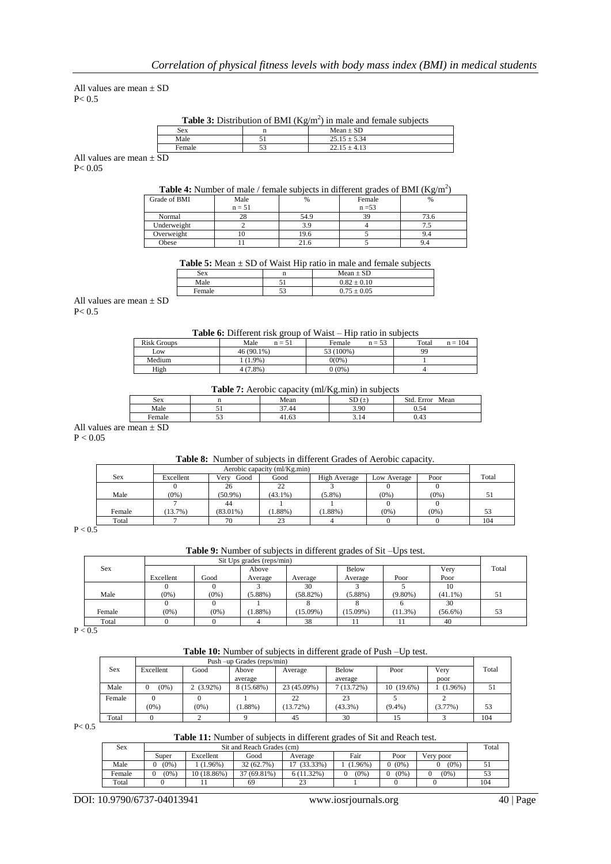All values are mean  $\pm$  SD  $P < 0.5$ 

**Table 3:** Distribution of BMI ( $Kg/m<sup>2</sup>$ ) in male and female subjects

| <b>Sex</b> | <b>SD</b><br>Mean             |
|------------|-------------------------------|
| Male       | 5.34<br>ں دے ۔                |
|            | 10<br><u>.</u><br><b>T.L.</b> |

All values are mean  $\pm$  SD  $P < 0.05$ 

# **Table 4:** Number of male / female subjects in different grades of BMI  $(Kg/m^2)$

| Grade of BMI | Male     | %    | Female   | $\frac{0}{6}$ |
|--------------|----------|------|----------|---------------|
|              | $n = 51$ |      | $n = 53$ |               |
| Normal       | 28       | 54.9 | 39       | 73.6          |
| Underweight  |          |      |          |               |
| Overweight   |          | 19.6 |          |               |
| Obese        |          | 41.U |          | 9.4           |

**Table 5:** Mean  $\pm$  SD of Waist Hip ratio in male and female subjects

| Sex    |                 | $Mean \pm SD$       |
|--------|-----------------|---------------------|
| Male   | c               | 0.82:<br>$\pm 0.10$ |
| Female | - م<br><u>.</u> | $0.75 \pm 0.05$     |

All values are mean  $\pm$  SD  $P < 0.5$ 

#### **Table 6:** Different risk group of Waist – Hip ratio in subjects

| <b>Risk Groups</b> | Male<br>$n = 51$ | $n = 53$<br>Female | $n = 104$<br>Total |
|--------------------|------------------|--------------------|--------------------|
| Low                | $46(90.1\%)$     | 53 (100%)          | 99                 |
| Medium             | $(1.9\%)$        | 0(0%               |                    |
| High               | $(7.8\%)$        | $0(0\%)$           |                    |

## **Table 7:** Aerobic capacity (ml/Kg min) in subjects

|            | ---------- | ---------<br>. | ---- ----- --- ---  |                                         |
|------------|------------|----------------|---------------------|-----------------------------------------|
| <b>Sex</b> |            | Mean           | $\alpha$<br>-<br>ىن | Std<br>Mean<br><b>EITO</b> <sup>r</sup> |
| Male       | - -        | 27.44          | 3.90                | $\sim$<br>U.J4                          |
| Female     | ້          | 41.63          | 5.14                | U.4.                                    |
|            |            |                |                     |                                         |

All values are mean  $\pm$  SD

 $P < 0.05$ 

## **Table 8:** Number of subjects in different Grades of Aerobic capacity.

|        | Aerobic capacity (ml/Kg.min) |              |            |              |             |         |       |
|--------|------------------------------|--------------|------------|--------------|-------------|---------|-------|
| Sex    | Excellent                    | Good<br>Verv | Good       | High Average | Low Average | Poor    | Total |
|        |                              | 26           | 22         |              |             |         |       |
| Male   | $(0\%)$                      | $(50.9\%)$   | $(43.1\%)$ | $(5.8\%)$    | $(0\%)$     | $(0\%)$ | 51    |
|        |                              | 44           |            |              |             |         |       |
| Female | $13.7\%$ )                   | $(83.01\%)$  | $(1.88\%)$ | $(1.88\%)$   | $(0\%)$     | $(0\%)$ | 53    |
| Total  |                              | 70           | 23         |              |             |         | 104   |

 $P < 0.5$ 

# **Table 9:** Number of subjects in different grades of Sit –Ups test.

|               |           | Sit Ups grades (reps/min) |            |             |             |            |            |       |
|---------------|-----------|---------------------------|------------|-------------|-------------|------------|------------|-------|
| Sex           |           |                           | Above      |             | Below       |            | Very       | Total |
|               | Excellent | Good                      | Average    | Average     | Average     | Poor       | Poor       |       |
|               |           |                           |            | 30          |             |            | 10         |       |
| Male          | $(0\%)$   | $(0\%)$                   | $(5.88\%)$ | $(58.82\%)$ | $(5.88\%)$  | $(9.80\%)$ | $(41.1\%)$ | 51    |
|               |           |                           |            |             |             |            | 30         |       |
| Female        | $(0\%)$   | $(0\%)$                   | 1.88%)     | $(15.09\%)$ | $(15.09\%)$ | $(11.3\%)$ | $(56.6\%)$ | 53    |
| Total         |           |                           |            | 38          |             |            | 40         |       |
| $\sim$ $\sim$ |           |                           |            |             |             |            |            |       |

 $P < 0.5$ 

**Table 10:** Number of subjects in different grade of Push –Up test.

|        | Push –up Grades (reps/min) |             |            |             |              |              |            |       |
|--------|----------------------------|-------------|------------|-------------|--------------|--------------|------------|-------|
| Sex    | Excellent                  | Good        | Above      | Average     | Below        | Poor         | Very       | Total |
|        |                            |             | average    |             | average      |              | poor       |       |
| Male   | $(0\%)$<br>$\mathbf{0}$    | $2(3.92\%)$ | 8 (15.68%) | 23 (45.09%) | $7(13.72\%)$ | $10(19.6\%)$ | $(1.96\%)$ | 51    |
| Female |                            |             |            | 22          | 23           |              |            |       |
|        | $(0\%)$                    | $(0\%)$     | $(1.88\%)$ | $(13.72\%)$ | $(43.3\%)$   | $(9.4\%)$    | $(3.77\%)$ | 53    |
| Total  |                            |             |            | 45          | 30           |              |            | 104   |

 $P < 0.5$ 

**Table 11:** Number of subjects in different grades of Sit and Reach test.

| Sex    | Sit and Reach Grades (cm) |             |             |               |        |         |           | Total |
|--------|---------------------------|-------------|-------------|---------------|--------|---------|-----------|-------|
|        | Super                     | Excellent   | Good        | Average       | Fair   | Poor    | Verv poor |       |
| Male   | $(0\%)$                   | $1.96\%$ )  | 32 (62.7%)  | $(33.33\%)$   | 1.96%) | $(0\%)$ | $(0\%)$   |       |
| Female | $(0\%)$                   | 10 (18.86%) | 37 (69.81%) | $6(11.32\%)$  | (0%)   | $(0\%)$ | $(0\%)$   | 53    |
| Total  |                           |             | 69          | $\sim$<br>ر ے |        |         |           | 104   |